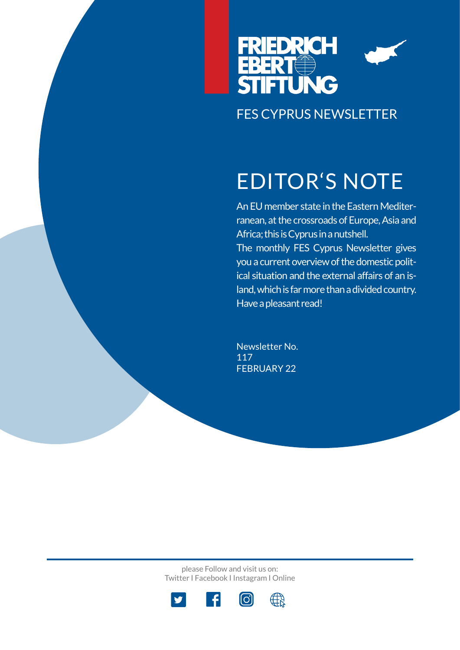

# EDITOR'S NOTE

An EU member state in the Eastern Mediterranean, at the crossroads of Europe, Asia and Africa; this is Cyprus in a nutshell. The monthly FES Cyprus Newsletter gives you a current overview of the domestic political situation and the external affairs of an island, which is far more than a divided country. Have a pleasant read!

Newsletter No. 117 FEBRUARY 22

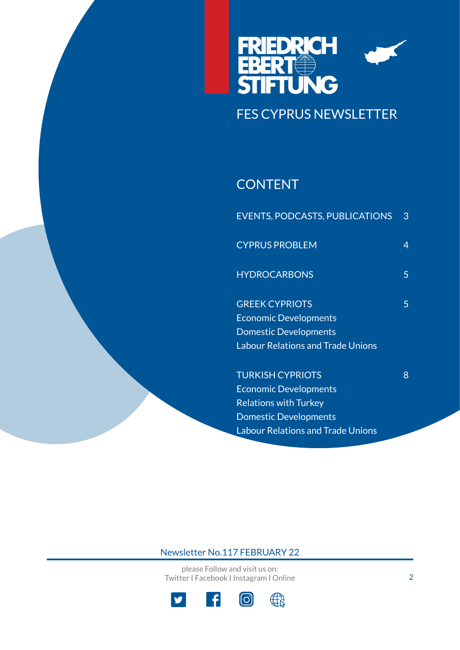

### **CONTENT**

| <b>EVENTS, PODCASTS, PUBLICATIONS</b>    | 3 |
|------------------------------------------|---|
| <b>CYPRUS PROBLEM</b>                    | 4 |
| <b>HYDROCARBONS</b>                      | 5 |
| <b>GREEK CYPRIOTS</b>                    | 5 |
| <b>Economic Developments</b>             |   |
| <b>Domestic Developments</b>             |   |
| <b>Labour Relations and Trade Unions</b> |   |
| <b>TURKISH CYPRIOTS</b>                  | 8 |
| <b>Economic Developments</b>             |   |
| <b>Relations with Turkey</b>             |   |
| <b>Domestic Developments</b>             |   |

Labour Relations and Trade Unions

### Newsletter No.117 FEBRUARY 22

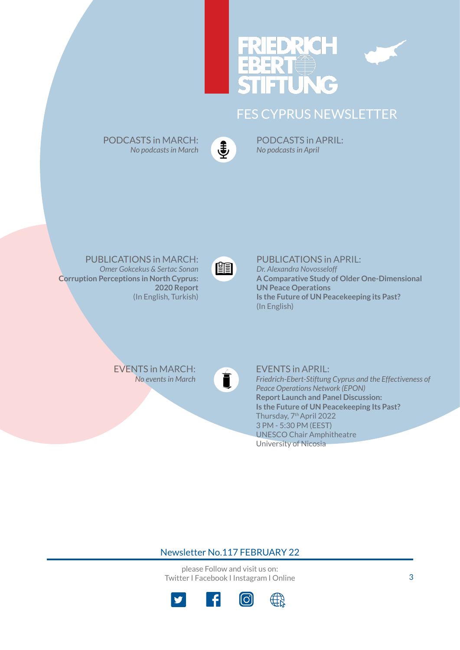



PODCASTS in MARCH: *No podcasts in March* €

PODCASTS in APRIL: *No podcasts in April*

PUBLICATIONS in MARCH: *Omer Gokcekus & Sertac Sona[n](https://www.fescyprus.org/publications/)*  **Corruption Perceptions in North Cyprus: 2020 Report** (In English, Turkish)



PUBLICATIONS in APRIL: *Dr. Alexandra Novosseloff* **A Comparative Study of Older One-Dimensional UN Peace Operations Is the Future of UN Peacekeeping its Past?** (In English)

EVENTS in MARCH[:](https://www.fescyprus.org/events/) *No events in March*



EVENTS in APRIL: *Friedrich-Ebert-Stiftung Cyprus and the Effectiveness of Peace Operations Network (EPON)*  **Report Launch and Panel Discussion: Is the Future of UN Peacekeeping Its Past?** Thursday, 7th April 2022 3 PM - 5:30 PM (EEST) UNESCO Chair Amphitheatre University of Nicosia

Newsletter No.117 FEBRUARY 22

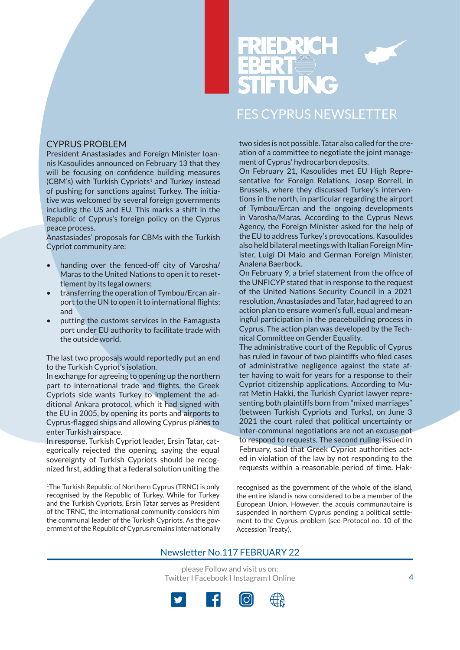



#### CYPRUS PROBLEM

President Anastasiades and Foreign Minister Ioannis Kasoulides announced on February 13 that they will be focusing on confidence building measures (CBM's) with Turkish Cypriots<sup>1</sup> and Turkey instead of pushing for sanctions against Turkey. The initiative was welcomed by several foreign governments including the US and EU. This marks a shift in the Republic of Cyprus's foreign policy on the Cyprus peace process.

Anastasiades' proposals for CBMs with the Turkish Cypriot community are:

- handing over the fenced-off city of Varosha/ Maras to the United Nations to open it to resettlement by its legal owners;
- transferring the operation of Tymbou/Ercan airport to the UN to open it to international flights; and
- putting the customs services in the Famagusta port under EU authority to facilitate trade with the outside world.

The last two proposals would reportedly put an end to the Turkish Cypriot's isolation.

In exchange for agreeing to opening up the northern part to international trade and flights, the Greek Cypriots side wants Turkey to implement the additional Ankara protocol, which it had signed with the EU in 2005, by opening its ports and airports to Cyprus-flagged ships and allowing Cyprus planes to enter Turkish airspace.

In response, Turkish Cypriot leader, Ersin Tatar, categorically rejected the opening, saying the equal sovereignty of Turkish Cypriots should be recognized first, adding that a federal solution uniting the

1The Turkish Republic of Northern Cyprus (TRNC) is only recognised by the Republic of Turkey. While for Turkey and the Turkish Cypriots, Ersin Tatar serves as President of the TRNC, the international community considers him the communal leader of the Turkish Cypriots. As the government of the Republic of Cyprus remains internationally

two sides is not possible. Tatar also called for the creation of a committee to negotiate the joint management of Cyprus' hydrocarbon deposits.

On February 21, Kasoulides met EU High Representative for Foreign Relations, Josep Borrell, in Brussels, where they discussed Turkey's interventions in the north, in particular regarding the airport of Tymbou/Ercan and the ongoing developments in Varosha/Maras. According to the Cyprus News Agency, the Foreign Minister asked for the help of the EU to address Turkey's provocations. Kasoulides also held bilateral meetings with Italian Foreign Minister, Luigi Di Maio and German Foreign Minister, Analena Baerbock.

On February 9, a brief statement from the office of the UNFICYP stated that in response to the request of the United Nations Security Council in a 2021 resolution, Anastasiades and Tatar, had agreed to an action plan to ensure women's full, equal and meaningful participation in the peacebuilding process in Cyprus. The action plan was developed by the Technical Committee on Gender Equality.

The administrative court of the Republic of Cyprus has ruled in favour of two plaintiffs who filed cases of administrative negligence against the state after having to wait for years for a response to their Cypriot citizenship applications. According to Murat Metin Hakki, the Turkish Cypriot lawyer representing both plaintiffs born from "mixed marriages" (between Turkish Cypriots and Turks), on June 3 2021 the court ruled that political uncertainty or inter-communal negotiations are not an excuse not to respond to requests. The second ruling, issued in February, said that Greek Cypriot authorities acted in violation of the law by not responding to the requests within a reasonable period of time. Hak-

recognised as the government of the whole of the island, the entire island is now considered to be a member of the European Union. However, the acquis communautaire is suspended in northern Cyprus pending a political settlement to the Cyprus problem (see Protocol no. 10 of the Accession Treaty).

#### Newsletter No.117 FEBRUARY 22

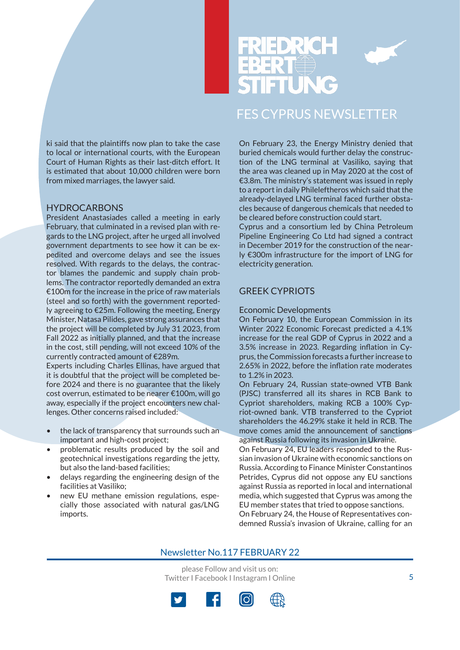



ki said that the plaintiffs now plan to take the case to local or international courts, with the European Court of Human Rights as their last-ditch effort. It is estimated that about 10,000 children were born from mixed marriages, the lawyer said.

#### HYDROCARBONS

President Anastasiades called a meeting in early February, that culminated in a revised plan with regards to the LNG project, after he urged all involved government departments to see how it can be expedited and overcome delays and see the issues resolved. With regards to the delays, the contractor blames the pandemic and supply chain problems. The contractor reportedly demanded an extra  $£100m$  for the increase in the price of raw materials (steel and so forth) with the government reportedly agreeing to €25m. Following the meeting, Energy Minister, Natasa Pilides, gave strong assurances that the project will be completed by July 31 2023, from Fall 2022 as initially planned, and that the increase in the cost, still pending, will not exceed 10% of the currently contracted amount of €289m.

Experts including Charles Ellinas, have argued that it is doubtful that the project will be completed before 2024 and there is no guarantee that the likely cost overrun, estimated to be nearer €100m, will go away, especially if the project encounters new challenges. Other concerns raised included:

- the lack of transparency that surrounds such an important and high-cost project;
- problematic results produced by the soil and geotechnical investigations regarding the jetty, but also the land-based facilities;
- delays regarding the engineering design of the facilities at Vasiliko;
- new EU methane emission regulations, especially those associated with natural gas/LNG imports.

On February 23, the Energy Ministry denied that buried chemicals would further delay the construction of the LNG terminal at Vasiliko, saying that the area was cleaned up in May 2020 at the cost of €3.8m. The ministry's statement was issued in reply to a report in daily Phileleftheros which said that the already-delayed LNG terminal faced further obstacles because of dangerous chemicals that needed to be cleared before construction could start.

Cyprus and a consortium led by China Petroleum Pipeline Engineering Co Ltd had signed a contract in December 2019 for the construction of the nearly €300m infrastructure for the import of LNG for electricity generation.

#### GREEK CYPRIOTS

#### Economic Developments

On February 10, the European Commission in its Winter 2022 Economic Forecast predicted a 4.1% increase for the real GDP of Cyprus in 2022 and a 3.5% increase in 2023. Regarding inflation in Cyprus, the Commission forecasts a further increase to 2.65% in 2022, before the inflation rate moderates to 1.2% in 2023.

On February 24, Russian state-owned VTB Bank (PJSC) transferred all its shares in RCB Bank to Cypriot shareholders, making RCB a 100% Cypriot-owned bank. VTB transferred to the Cypriot shareholders the 46.29% stake it held in RCB. The move comes amid the announcement of sanctions against Russia following its invasion in Ukraine.

On February 24, EU leaders responded to the Russian invasion of Ukraine with economic sanctions on Russia. According to Finance Minister Constantinos Petrides, Cyprus did not oppose any EU sanctions against Russia as reported in local and international media, which suggested that Cyprus was among the EU member states that tried to oppose sanctions. On February 24, the House of Representatives condemned Russia's invasion of Ukraine, calling for an

#### Newsletter No.117 FEBRUARY 22

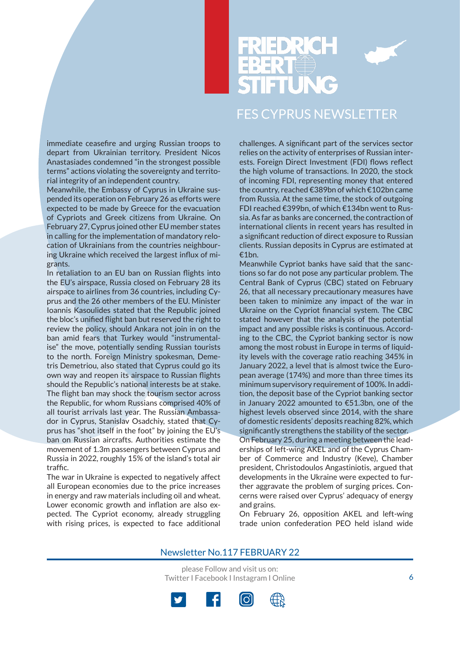

immediate ceasefire and urging Russian troops to depart from Ukrainian territory. President Nicos Anastasiades condemned "in the strongest possible terms" actions violating the sovereignty and territorial integrity of an independent country.

Meanwhile, the Embassy of Cyprus in Ukraine suspended its operation on February 26 as efforts were expected to be made by Greece for the evacuation of Cypriots and Greek citizens from Ukraine. On February 27, Cyprus joined other EU member states in calling for the implementation of mandatory relocation of Ukrainians from the countries neighbouring Ukraine which received the largest influx of migrants.

In retaliation to an EU ban on Russian flights into the EU's airspace, Russia closed on February 28 its airspace to airlines from 36 countries, including Cyprus and the 26 other members of the EU. Minister Ioannis Kasoulides stated that the Republic joined the bloc's unified flight ban but reserved the right to review the policy, should Ankara not join in on the ban amid fears that Turkey would "instrumentalise" the move, potentially sending Russian tourists to the north. Foreign Ministry spokesman, Demetris Demetriou, also stated that Cyprus could go its own way and reopen its airspace to Russian flights should the Republic's national interests be at stake. The flight ban may shock the tourism sector across the Republic, for whom Russians comprised 40% of all tourist arrivals last year. The Russian Ambassador in Cyprus, Stanislav Osadchiy, stated that Cyprus has "shot itself in the foot" by joining the EU's ban on Russian aircrafts. Authorities estimate the movement of 1.3m passengers between Cyprus and Russia in 2022, roughly 15% of the island's total air traffic.

The war in Ukraine is expected to negatively affect all European economies due to the price increases in energy and raw materials including oil and wheat. Lower economic growth and inflation are also expected. The Cypriot economy, already struggling with rising prices, is expected to face additional

challenges. A significant part of the services sector relies on the activity of enterprises of Russian interests. Foreign Direct Investment (FDI) flows reflect the high volume of transactions. In 2020, the stock of incoming FDI, representing money that entered the country, reached €389bn of which €102bn came from Russia. At the same time, the stock of outgoing FDI reached €399bn, of which €134bn went to Russia. As far as banks are concerned, the contraction of international clients in recent years has resulted in a significant reduction of direct exposure to Russian clients. Russian deposits in Cyprus are estimated at €1bn.

Meanwhile Cypriot banks have said that the sanctions so far do not pose any particular problem. The Central Bank of Cyprus (CBC) stated on February 26, that all necessary precautionary measures have been taken to minimize any impact of the war in Ukraine on the Cypriot financial system. The CBC stated however that the analysis of the potential impact and any possible risks is continuous. According to the CBC, the Cypriot banking sector is now among the most robust in Europe in terms of liquidity levels with the coverage ratio reaching 345% in January 2022, a level that is almost twice the European average (174%) and more than three times its minimum supervisory requirement of 100%. In addition, the deposit base of the Cypriot banking sector in January 2022 amounted to €51.3bn, one of the highest levels observed since 2014, with the share of domestic residents' deposits reaching 82%, which significantly strengthens the stability of the sector. On February 25, during a meeting between the leaderships of left-wing AKEL and of the Cyprus Chamber of Commerce and Industry (Keve), Chamber president, Christodoulos Angastiniotis, argued that developments in the Ukraine were expected to further aggravate the problem of surging prices. Concerns were raised over Cyprus' adequacy of energy and grains.

On February 26, opposition AKEL and left-wing trade union confederation PEO held island wide

#### Newsletter No.117 FEBRUARY 22

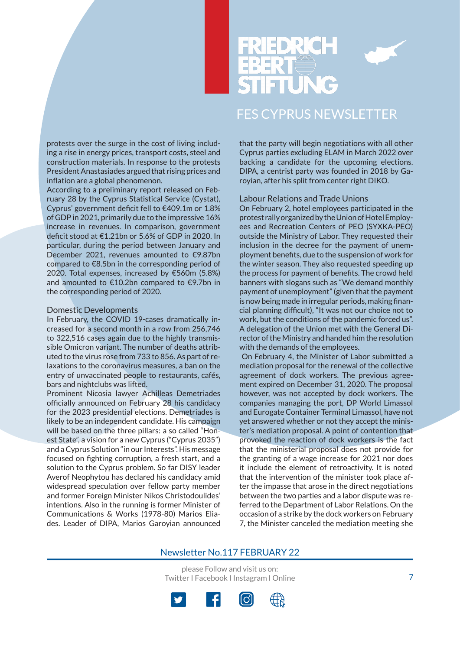



protests over the surge in the cost of living including a rise in energy prices, transport costs, steel and construction materials. In response to the protests President Anastasiades argued that rising prices and inflation are a global phenomenon.

According to a preliminary report released on February 28 by the Cyprus Statistical Service (Cystat), Cyprus' government deficit fell to €409.1m or 1.8% of GDP in 2021, primarily due to the impressive 16% increase in revenues. In comparison, government deficit stood at €1.21bn or 5.6% of GDP in 2020. In particular, during the period between January and December 2021, revenues amounted to €9.87bn compared to €8.5bn in the corresponding period of 2020. Total expenses, increased by €560m (5.8%) and amounted to €10.2bn compared to €9.7bn in the corresponding period of 2020.

#### Domestic Developments

In February, the COVID 19-cases dramatically increased for a second month in a row from 256,746 to 322,516 cases again due to the highly transmissible Omicron variant. The number of deaths attributed to the virus rose from 733 to 856. As part of relaxations to the coronavirus measures, a ban on the entry of unvaccinated people to restaurants, cafés, bars and nightclubs was lifted.

Prominent Nicosia lawyer Achilleas Demetriades officially announced on February 28 his candidacy for the 2023 presidential elections. Demetriades is likely to be an independent candidate. His campaign will be based on the three pillars: a so called "Honest State", a vision for a new Cyprus ("Cyprus 2035") and a Cyprus Solution "in our Interests". His message focused on fighting corruption, a fresh start, and a solution to the Cyprus problem. So far DISY leader Averof Neophytou has declared his candidacy amid widespread speculation over fellow party member and former Foreign Minister Nikos Christodoulides' intentions. Also in the running is former Minister of Communications & Works (1978-80) Marios Eliades. Leader of DIPA, Marios Garoyian announced that the party will begin negotiations with all other Cyprus parties excluding ELAM in March 2022 over backing a candidate for the upcoming elections. DIPA, a centrist party was founded in 2018 by Garoyian, after his split from center right DIKO.

#### Labour Relations and Trade Unions

On February 2, hotel employees participated in the protest rally organized by the Union of Hotel Employees and Recreation Centers of PEO (SYXKA-PEO) outside the Ministry of Labor. They requested their inclusion in the decree for the payment of unemployment benefits, due to the suspension of work for the winter season. They also requested speeding up the process for payment of benefits. The crowd held banners with slogans such as "We demand monthly payment of unemployment" (given that the payment is now being made in irregular periods, making financial planning difficult), "It was not our choice not to work, but the conditions of the pandemic forced us". A delegation of the Union met with the General Director of the Ministry and handed him the resolution with the demands of the employees.

 On February 4, the Minister of Labor submitted a mediation proposal for the renewal of the collective agreement of dock workers. The previous agreement expired on December 31, 2020. The proposal however, was not accepted by dock workers. The companies managing the port, DP World Limassol and Eurogate Container Terminal Limassol, have not yet answered whether or not they accept the minister's mediation proposal. A point of contention that provoked the reaction of dock workers is the fact that the ministerial proposal does not provide for the granting of a wage increase for 2021 nor does it include the element of retroactivity. It is noted that the intervention of the minister took place after the impasse that arose in the direct negotiations between the two parties and a labor dispute was referred to the Department of Labor Relations. On the occasion of a strike by the dock workers on February 7, the Minister canceled the mediation meeting she

#### Newsletter No.117 FEBRUARY 22

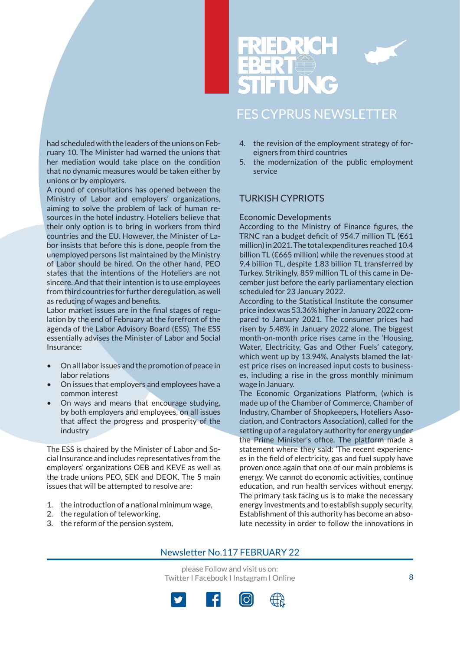



had scheduled with the leaders of the unions on February 10. The Minister had warned the unions that her mediation would take place on the condition that no dynamic measures would be taken either by unions or by employers.

A round of consultations has opened between the Ministry of Labor and employers' organizations, aiming to solve the problem of lack of human resources in the hotel industry. Hoteliers believe that their only option is to bring in workers from third countries and the EU. However, the Minister of Labor insists that before this is done, people from the unemployed persons list maintained by the Ministry of Labor should be hired. On the other hand, PEO states that the intentions of the Hoteliers are not sincere. And that their intention is to use employees from third countries for further deregulation, as well as reducing of wages and benefits.

Labor market issues are in the final stages of regulation by the end of February at the forefront of the agenda of the Labor Advisory Board (ESS). The ESS essentially advises the Minister of Labor and Social Insurance:

- On all labor issues and the promotion of peace in labor relations
- On issues that employers and employees have a common interest
- On ways and means that encourage studying, by both employers and employees, on all issues that affect the progress and prosperity of the industry

The ESS is chaired by the Minister of Labor and Social Insurance and includes representatives from the employers' organizations OEB and KEVE as well as the trade unions PEO, SEK and DEOK. The 5 main issues that will be attempted to resolve are:

- 1. the introduction of a national minimum wage,
- 2. the regulation of teleworking,
- 3. the reform of the pension system,
- 4. the revision of the employment strategy of foreigners from third countries
- 5. the modernization of the public employment service

#### TURKISH CYPRIOTS

#### Economic Developments

According to the Ministry of Finance figures, the TRNC ran a budget deficit of 954.7 million TL (€61 million) in 2021. The total expenditures reached 10.4 billion TL (€665 million) while the revenues stood at 9.4 billion TL, despite 1.83 billion TL transferred by Turkey. Strikingly, 859 million TL of this came in December just before the early parliamentary election scheduled for 23 January 2022.

According to the Statistical Institute the consumer price index was 53.36% higher in January 2022 compared to January 2021. The consumer prices had risen by 5.48% in January 2022 alone. The biggest month-on-month price rises came in the 'Housing, Water, Electricity, Gas and Other Fuels' category, which went up by 13.94%. Analysts blamed the latest price rises on increased input costs to businesses, including a rise in the gross monthly minimum wage in January.

The Economic Organizations Platform, (which is made up of the Chamber of Commerce, Chamber of Industry, Chamber of Shopkeepers, Hoteliers Association, and Contractors Association), called for the setting up of a regulatory authority for energy under the Prime Minister's office. The platform made a statement where they said: 'The recent experiences in the field of electricity, gas and fuel supply have proven once again that one of our main problems is energy. We cannot do economic activities, continue education, and run health services without energy. The primary task facing us is to make the necessary energy investments and to establish supply security. Establishment of this authority has become an absolute necessity in order to follow the innovations in

#### Newsletter No.117 FEBRUARY 22

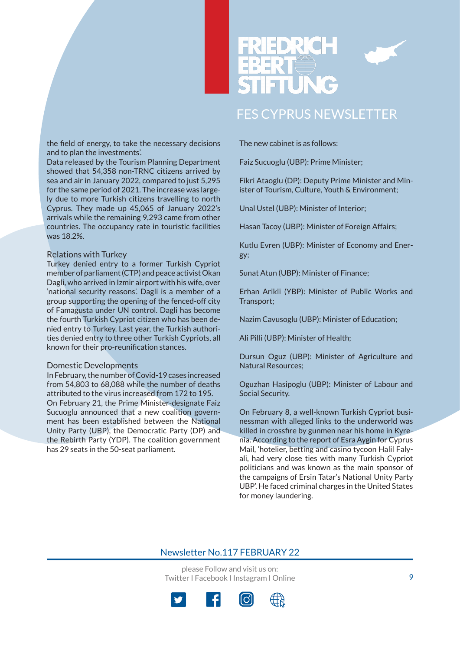

the field of energy, to take the necessary decisions and to plan the investments'.

Data released by the Tourism Planning Department showed that 54,358 non-TRNC citizens arrived by sea and air in January 2022, compared to just 5,295 for the same period of 2021. The increase was largely due to more Turkish citizens travelling to north Cyprus. They made up 45,065 of January 2022's arrivals while the remaining 9,293 came from other countries. The occupancy rate in touristic facilities was 18.2%.

#### Relations with Turkey

Turkey denied entry to a former Turkish Cypriot member of parliament (CTP) and peace activist Okan Dagli, who arrived in Izmir airport with his wife, over 'national security reasons'. Dagli is a member of a group supporting the opening of the fenced-off city of Famagusta under UN control. Dagli has become the fourth Turkish Cypriot citizen who has been denied entry to Turkey. Last year, the Turkish authorities denied entry to three other Turkish Cypriots, all known for their pro-reunification stances.

#### Domestic Developments

In February, the number of Covid-19 cases increased from 54,803 to 68,088 while the number of deaths attributed to the virus increased from 172 to 195. On February 21, the Prime Minister-designate Faiz Sucuoglu announced that a new coalition government has been established between the National Unity Party (UBP), the Democratic Party (DP) and the Rebirth Party (YDP). The coalition government has 29 seats in the 50-seat parliament.

The new cabinet is as follows:

Faiz Sucuoglu (UBP): Prime Minister;

Fikri Ataoglu (DP): Deputy Prime Minister and Minister of Tourism, Culture, Youth & Environment;

Unal Ustel (UBP): Minister of Interior;

Hasan Tacoy (UBP): Minister of Foreign Affairs;

Kutlu Evren (UBP): Minister of Economy and Energy;

Sunat Atun (UBP): Minister of Finance;

Erhan Arikli (YBP): Minister of Public Works and Transport;

Nazim Cavusoglu (UBP): Minister of Education;

Ali Pilli (UBP): Minister of Health;

Dursun Oguz (UBP): Minister of Agriculture and Natural Resources;

Oguzhan Hasipoglu (UBP): Minister of Labour and Social Security.

On February 8, a well-known Turkish Cypriot businessman with alleged links to the underworld was killed in crossfire by gunmen near his home in Kyrenia. According to the report of Esra Aygin for Cyprus Mail, 'hotelier, betting and casino tycoon Halil Falyali, had very close ties with many Turkish Cypriot politicians and was known as the main sponsor of the campaigns of Ersin Tatar's National Unity Party UBP'. He faced criminal charges in the United States for money laundering.

#### Newsletter No.117 FEBRUARY 22

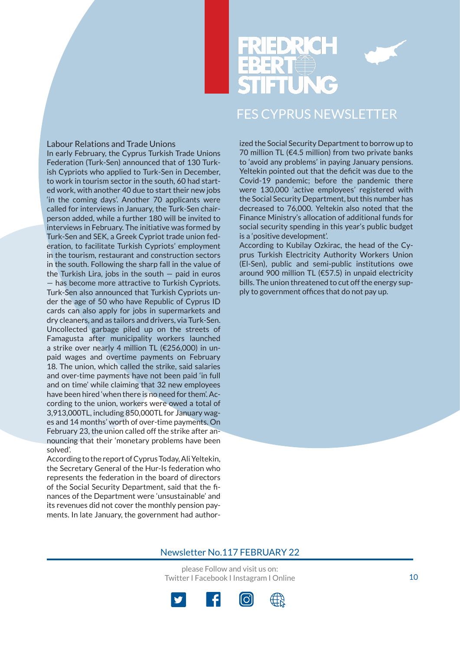

#### Labour Relations and Trade Unions

In early February, the Cyprus Turkish Trade Unions Federation (Turk-Sen) announced that of 130 Turkish Cypriots who applied to Turk-Sen in December, to work in tourism sector in the south, 60 had started work, with another 40 due to start their new jobs 'in the coming days'. Another 70 applicants were called for interviews in January, the Turk-Sen chairperson added, while a further 180 will be invited to interviews in February. The initiative was formed by Turk-Sen and SEK, a Greek Cypriot trade union federation, to facilitate Turkish Cypriots' employment in the tourism, restaurant and construction sectors in the south. Following the sharp fall in the value of the Turkish Lira, jobs in the south  $-$  paid in euros — has become more attractive to Turkish Cypriots. Turk-Sen also announced that Turkish Cypriots under the age of 50 who have Republic of Cyprus ID cards can also apply for jobs in supermarkets and dry cleaners, and as tailors and drivers, via Turk-Sen. Uncollected garbage piled up on the streets of Famagusta after municipality workers launched a strike over nearly 4 million TL (€256,000) in unpaid wages and overtime payments on February 18. The union, which called the strike, said salaries and over-time payments have not been paid 'in full and on time' while claiming that 32 new employees have been hired 'when there is no need for them'. According to the union, workers were owed a total of 3,913,000TL, including 850,000TL for January wages and 14 months' worth of over-time payments. On February 23, the union called off the strike after announcing that their 'monetary problems have been solved'.

According to the report of Cyprus Today, Ali Yeltekin, the Secretary General of the Hur-Is federation who represents the federation in the board of directors of the Social Security Department, said that the finances of the Department were 'unsustainable' and its revenues did not cover the monthly pension payments. In late January, the government had authorized the Social Security Department to borrow up to 70 million TL (€4.5 million) from two private banks to 'avoid any problems' in paying January pensions. Yeltekin pointed out that the deficit was due to the Covid-19 pandemic; before the pandemic there were 130,000 'active employees' registered with the Social Security Department, but this number has decreased to 76,000. Yeltekin also noted that the Finance Ministry's allocation of additional funds for social security spending in this year's public budget is a 'positive development'.

According to Kubilay Ozkirac, the head of the Cyprus Turkish Electricity Authority Workers Union (El-Sen), public and semi-public institutions owe around 900 million TL (€57.5) in unpaid electricity bills. The union threatened to cut off the energy supply to government offices that do not pay up.

#### Newsletter No.117 FEBRUARY 22